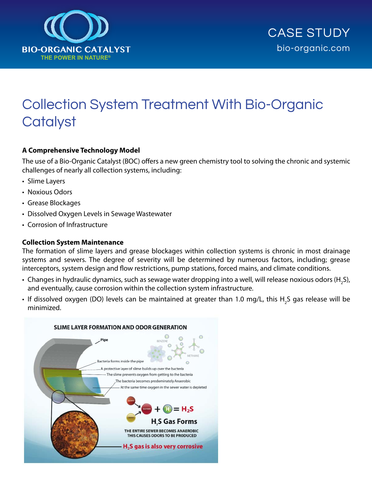

# Collection System Treatment With Bio-Organic **Catalyst**

# **A Comprehensive Technology Model**

The use of a Bio-Organic Catalyst (BOC) offers a new green chemistry tool to solving the chronic and systemic challenges of nearly all collection systems, including:

- Slime Layers
- Noxious Odors
- • Grease Blockages
- Dissolved Oxygen Levels in Sewage Wastewater
- Corrosion of Infrastructure

### **Collection System Maintenance**

The formation of slime layers and grease blockages within collection systems is chronic in most drainage systems and sewers. The degree of severity will be determined by numerous factors, including; grease interceptors, system design and flow restrictions, pump stations, forced mains, and climate conditions.

- $\bullet\,$  Changes in hydraulic dynamics, such as sewage water dropping into a well, will release noxious odors (H<sub>2</sub>S), and eventually, cause corrosion within the collection system infrastructure.
- If dissolved oxygen (DO) levels can be maintained at greater than 1.0 mg/L, this H<sub>2</sub>S gas release will be minimized.

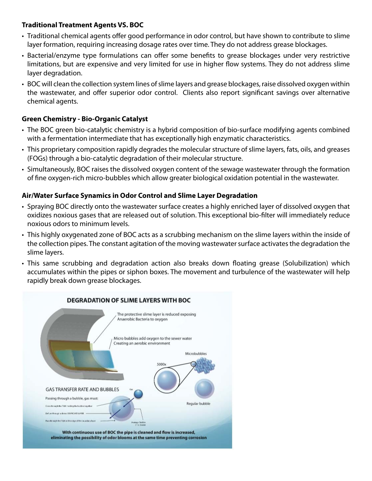# **Traditional Treatment Agents VS. BOC**

- Traditional chemical agents offer good performance in odor control, but have shown to contribute to slime layer formation, requiring increasing dosage rates over time. They do not address grease blockages.
- Bacterial/enzyme type formulations can offer some benefits to grease blockages under very restrictive limitations, but are expensive and very limited for use in higher flow systems. They do not address slime layer degradation.
- BOC will clean the collection system lines of slime layers and grease blockages, raise dissolved oxygen within the wastewater, and offer superior odor control. Clients also report significant savings over alternative chemical agents.

# **Green Chemistry - Bio-Organic Catalyst**

- The BOC green bio-catalytic chemistry is a hybrid composition of bio-surface modifying agents combined with a fermentation intermediate that has exceptionally high enzymatic characteristics.
- This proprietary composition rapidly degrades the molecular structure of slime layers, fats, oils, and greases (FOGs) through a bio-catalytic degradation of their molecular structure.
- • Simultaneously, BOC raises the dissolved oxygen content of the sewage wastewater through the formation of fine oxygen-rich micro-bubbles which allow greater biological oxidation potential in the wastewater.

# **Air/Water Surface Synamics in Odor Control and Slime Layer Degradation**

- Spraying BOC directly onto the wastewater surface creates a highly enriched layer of dissolved oxygen that oxidizes noxious gases that are released out of solution. This exceptional bio-filter will immediately reduce noxious odors to minimum levels.
- This highly oxygenated zone of BOC acts as a scrubbing mechanism on the slime layers within the inside of the collection pipes. The constant agitation of the moving wastewater surface activates the degradation the slime layers.
- This same scrubbing and degradation action also breaks down floating grease (Solubilization) which accumulates within the pipes or siphon boxes. The movement and turbulence of the wastewater will help rapidly break down grease blockages.

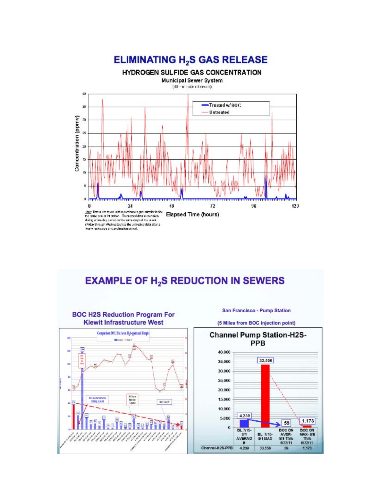

# **EXAMPLE OF H<sub>2</sub>S REDUCTION IN SEWERS**



San Francisco - Pump Station

(5 Miles from BOC injection point)

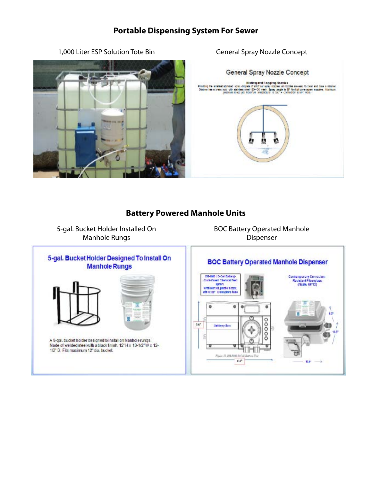# **Portable Dispensing System For Sewer**



1,000 Liter ESP Solution Tote Bin General Spray Nozzle Concept



# **Battery Powered Manhole Units**

5-gal. Bucket Holder Installed On Manhole Rungs

BOC Battery Operated Manhole Dispenser